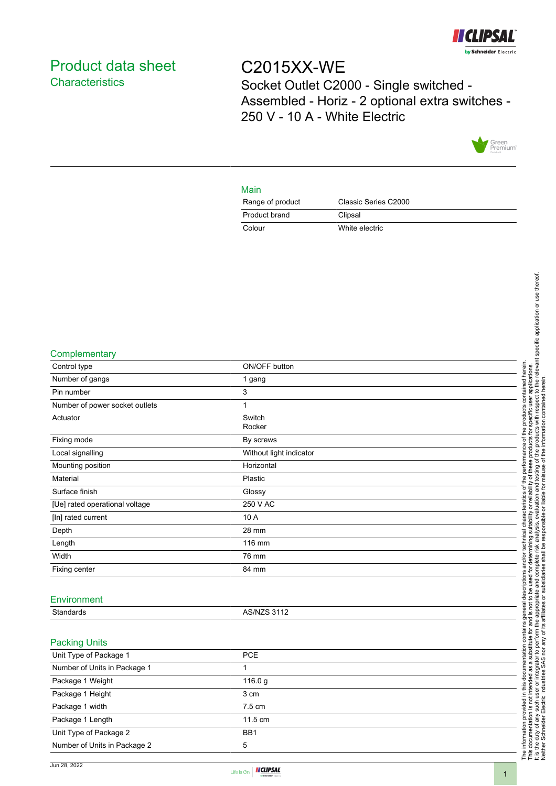

## <span id="page-0-0"></span>Product data sheet **Characteristics**

# C2015XX-WE Socket Outlet C2000 - Single switched - Assembled - Horiz - 2 optional extra switches - 250 V - 10 A - White Electric



### Main

| Range of product | Classic Series C2000 |
|------------------|----------------------|
| Product brand    | Clipsal              |
| Colour           | White electric       |

#### **Complementary**

| Control type                   | ON/OFF button           |  |
|--------------------------------|-------------------------|--|
| Number of gangs                | 1 gang                  |  |
| Pin number                     | 3                       |  |
| Number of power socket outlets | $\mathbf{1}$            |  |
| Actuator                       | Switch<br>Rocker        |  |
| Fixing mode                    | By screws               |  |
| Local signalling               | Without light indicator |  |
| Mounting position              | Horizontal              |  |
| Material                       | Plastic                 |  |
| Surface finish                 | Glossy                  |  |
| [Ue] rated operational voltage | 250 V AC                |  |
| [In] rated current             | 10 A                    |  |
| Depth                          | 28 mm                   |  |
| Length                         | 116 mm                  |  |
| Width                          | 76 mm                   |  |
| Fixing center                  | 84 mm                   |  |
|                                |                         |  |
| Environment                    |                         |  |
| Standards                      | <b>AS/NZS 3112</b>      |  |
|                                |                         |  |
| <b>Packing Units</b>           |                         |  |
| Unit Type of Package 1         | PCE                     |  |
| Number of Units in Package 1   | 1                       |  |
| Package 1 Weight               | 116.0 g                 |  |
| Package 1 Height               | 3 cm                    |  |
| Package 1 width                | 7.5 cm                  |  |
| Package 1 Length               | 11.5 cm                 |  |
| Unit Type of Package 2         | BB1                     |  |
| Number of Units in Package 2   | 5                       |  |